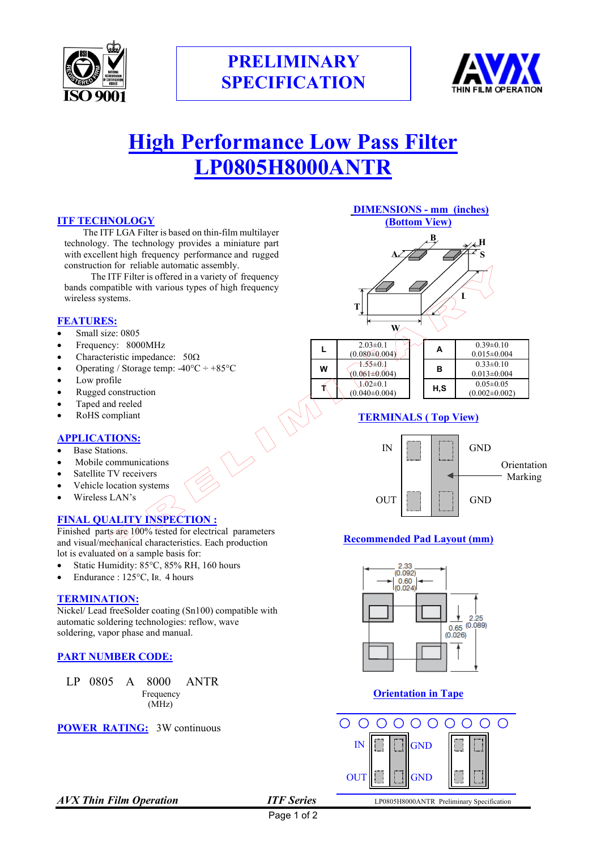



# **High Performance Low Pass Filter LP0805H8000ANTR**

 $\bigcirc$ 

#### **ITF TECHNOLOGY**

 The ITF LGA Filter is based on thin-film multilayer technology. The technology provides a miniature part with excellent high frequency performance and rugged construction for reliable automatic assembly.

 The ITF Filter is offered in a variety of frequency bands compatible with various types of high frequency wireless systems.

#### **FEATURES:**

- Small size: 0805
- Frequency: 8000MHz
- Characteristic impedance: 50Ω
- Operating / Storage temp:  $-40^{\circ}\text{C} \div +85^{\circ}\text{C}$
- Low profile
- Rugged construction
- Taped and reeled
- RoHS compliant

#### **APPLICATIONS:**

- Base Stations.
- Mobile communications
- Satellite TV receivers
- Vehicle location systems
- Wireless LAN's

# **FINAL QUALITY INSPECTION :**

Finished parts are 100% tested for electrical parameters and visual/mechanical characteristics. Each production lot is evaluated on a sample basis for:

- Static Humidity: 85°C, 85% RH, 160 hours
- Endurance : 125°C, Ir., 4 hours

#### **TERMINATION:**

Nickel/ Lead freeSolder coating (Sn100) compatible with automatic soldering technologies: reflow, wave soldering, vapor phase and manual.

#### **PART NUMBER CODE:**

LP 0805 A 8000 ANTR<br>Frequency (MHz)



#### **DIMENSIONS - mm (inches) (Bottom View)**



|   | $2.03 \pm 0.1$<br>$(0.080 \pm 0.004)$ | А   | $0.39\pm0.10$<br>$0.015 \pm 0.004$     |
|---|---------------------------------------|-----|----------------------------------------|
| w | $+55\pm0.1$<br>$(0.061 \pm 0.004)$    | в   | $0.33\pm0.10$<br>$0.013 \pm 0.004$     |
|   | $1.02 \pm 0.1$<br>$(0.040 \pm 0.004)$ | H.S | $0.05 \pm 0.05$<br>$(0.002 \pm 0.002)$ |

# **TERMINALS ( Top View)**



# **Recommended Pad Layout (mm)**



# **Orientation in Tape**



Page 1 of 2